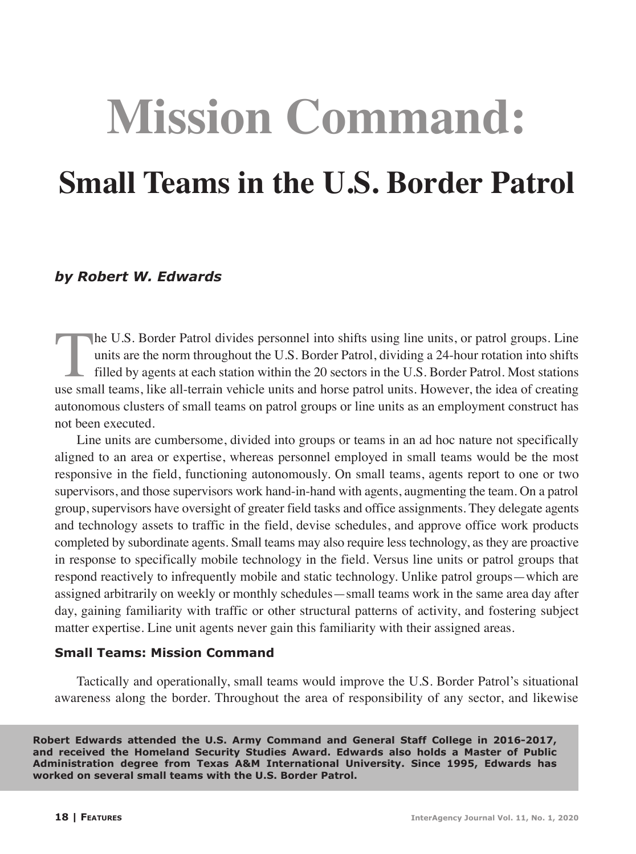# **Mission Command:**

## **Small Teams in the U.S. Border Patrol**

#### *by Robert W. Edwards*

The U.S. Border Patrol divides personnel into shifts using line units, or patrol groups. Line<br>units are the norm throughout the U.S. Border Patrol, dividing a 24-hour rotation into shifts<br>filled by agents at each station w units are the norm throughout the U.S. Border Patrol, dividing a 24-hour rotation into shifts filled by agents at each station within the 20 sectors in the U.S. Border Patrol. Most stations use small teams, like all-terrain vehicle units and horse patrol units. However, the idea of creating autonomous clusters of small teams on patrol groups or line units as an employment construct has not been executed.

Line units are cumbersome, divided into groups or teams in an ad hoc nature not specifically aligned to an area or expertise, whereas personnel employed in small teams would be the most responsive in the field, functioning autonomously. On small teams, agents report to one or two supervisors, and those supervisors work hand-in-hand with agents, augmenting the team. On a patrol group, supervisors have oversight of greater field tasks and office assignments. They delegate agents and technology assets to traffic in the field, devise schedules, and approve office work products completed by subordinate agents. Small teams may also require less technology, as they are proactive in response to specifically mobile technology in the field. Versus line units or patrol groups that respond reactively to infrequently mobile and static technology. Unlike patrol groups—which are assigned arbitrarily on weekly or monthly schedules—small teams work in the same area day after day, gaining familiarity with traffic or other structural patterns of activity, and fostering subject matter expertise. Line unit agents never gain this familiarity with their assigned areas.

#### **Small Teams: Mission Command**

Tactically and operationally, small teams would improve the U.S. Border Patrol's situational awareness along the border. Throughout the area of responsibility of any sector, and likewise

**Robert Edwards attended the U.S. Army Command and General Staff College in 2016-2017, and received the Homeland Security Studies Award. Edwards also holds a Master of Public Administration degree from Texas A&M International University. Since 1995, Edwards has worked on several small teams with the U.S. Border Patrol.**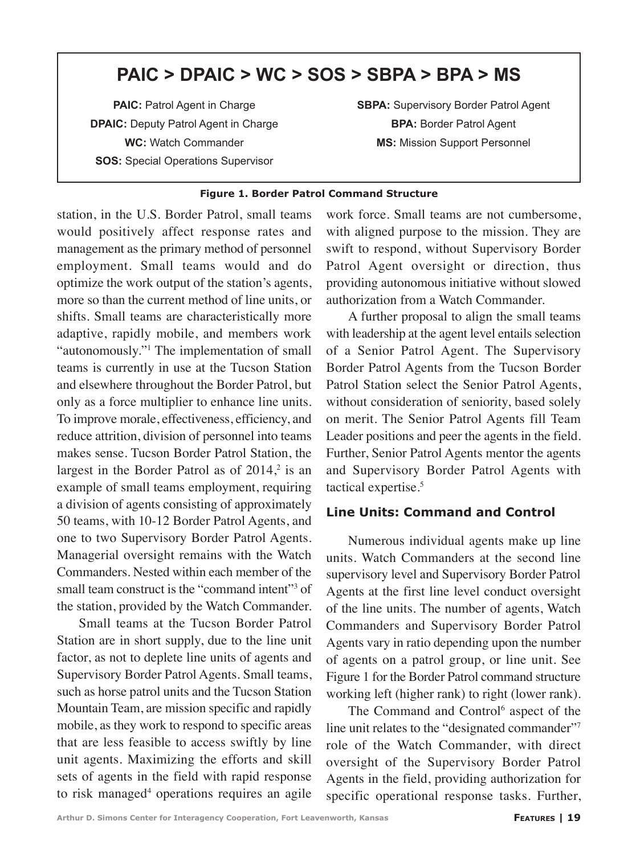### **PAIC > DPAIC > WC > SOS > SBPA > BPA > MS**

**PAIC:** Patrol Agent in Charge **DPAIC:** Deputy Patrol Agent in Charge **WC:** Watch Commander **SOS: Special Operations Supervisor** 

**SBPA:** Supervisory Border Patrol Agent **BPA:** Border Patrol Agent **MS:** Mission Support Personnel

#### **Figure 1. Border Patrol Command Structure**

station, in the U.S. Border Patrol, small teams would positively affect response rates and management as the primary method of personnel employment. Small teams would and do optimize the work output of the station's agents, more so than the current method of line units, or shifts. Small teams are characteristically more adaptive, rapidly mobile, and members work "autonomously."1 The implementation of small teams is currently in use at the Tucson Station and elsewhere throughout the Border Patrol, but only as a force multiplier to enhance line units. To improve morale, effectiveness, efficiency, and reduce attrition, division of personnel into teams makes sense. Tucson Border Patrol Station, the largest in the Border Patrol as of  $2014$ ,<sup>2</sup> is an example of small teams employment, requiring a division of agents consisting of approximately 50 teams, with 10-12 Border Patrol Agents, and one to two Supervisory Border Patrol Agents. Managerial oversight remains with the Watch Commanders. Nested within each member of the small team construct is the "command intent"<sup>3</sup> of the station, provided by the Watch Commander.

Small teams at the Tucson Border Patrol Station are in short supply, due to the line unit factor, as not to deplete line units of agents and Supervisory Border Patrol Agents. Small teams, such as horse patrol units and the Tucson Station Mountain Team, are mission specific and rapidly mobile, as they work to respond to specific areas that are less feasible to access swiftly by line unit agents. Maximizing the efforts and skill sets of agents in the field with rapid response to risk managed<sup>4</sup> operations requires an agile work force. Small teams are not cumbersome, with aligned purpose to the mission. They are swift to respond, without Supervisory Border Patrol Agent oversight or direction, thus providing autonomous initiative without slowed authorization from a Watch Commander.

A further proposal to align the small teams with leadership at the agent level entails selection of a Senior Patrol Agent. The Supervisory Border Patrol Agents from the Tucson Border Patrol Station select the Senior Patrol Agents, without consideration of seniority, based solely on merit. The Senior Patrol Agents fill Team Leader positions and peer the agents in the field. Further, Senior Patrol Agents mentor the agents and Supervisory Border Patrol Agents with tactical expertise.<sup>5</sup>

#### **Line Units: Command and Control**

Numerous individual agents make up line units. Watch Commanders at the second line supervisory level and Supervisory Border Patrol Agents at the first line level conduct oversight of the line units. The number of agents, Watch Commanders and Supervisory Border Patrol Agents vary in ratio depending upon the number of agents on a patrol group, or line unit. See Figure 1 for the Border Patrol command structure working left (higher rank) to right (lower rank).

The Command and Control<sup>6</sup> aspect of the line unit relates to the "designated commander"<sup>7</sup> role of the Watch Commander, with direct oversight of the Supervisory Border Patrol Agents in the field, providing authorization for specific operational response tasks. Further,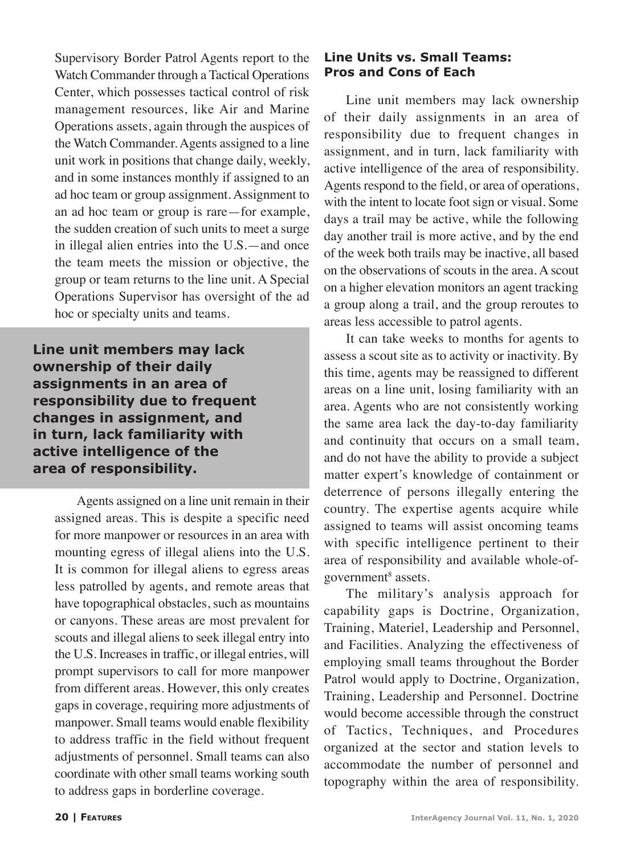Supervisory Border Patrol Agents report to the Watch Commander through a Tactical Operations Center, which possesses tactical control of risk management resources, like Air and Marine Operations assets, again through the auspices of the Watch Commander. Agents assigned to a line unit work in positions that change daily, weekly, and in some instances monthly if assigned to an ad hoc team or group assignment. Assignment to an ad hoc team or group is rare—for example, the sudden creation of such units to meet a surge in illegal alien entries into the U.S.—and once the team meets the mission or objective, the group or team returns to the line unit. A Special Operations Supervisor has oversight of the ad hoc or specialty units and teams.

**Line unit members may lack ownership of their daily assignments in an area of responsibility due to frequent changes in assignment, and in turn, lack familiarity with active intelligence of the area of responsibility.** 

Agents assigned on a line unit remain in their assigned areas. This is despite a specific need for more manpower or resources in an area with mounting egress of illegal aliens into the U.S. It is common for illegal aliens to egress areas less patrolled by agents, and remote areas that have topographical obstacles, such as mountains or canyons. These areas are most prevalent for scouts and illegal aliens to seek illegal entry into the U.S. Increases in traffic, or illegal entries, will prompt supervisors to call for more manpower from different areas. However, this only creates gaps in coverage, requiring more adjustments of manpower. Small teams would enable flexibility to address traffic in the field without frequent adjustments of personnel. Small teams can also coordinate with other small teams working south to address gaps in borderline coverage.

#### **Line Units vs. Small Teams: Pros and Cons of Each**

Line unit members may lack ownership of their daily assignments in an area of responsibility due to frequent changes in assignment, and in turn, lack familiarity with active intelligence of the area of responsibility. Agents respond to the field, or area of operations, with the intent to locate foot sign or visual. Some days a trail may be active, while the following day another trail is more active, and by the end of the week both trails may be inactive, all based on the observations of scouts in the area. A scout on a higher elevation monitors an agent tracking a group along a trail, and the group reroutes to areas less accessible to patrol agents.

It can take weeks to months for agents to assess a scout site as to activity or inactivity. By this time, agents may be reassigned to different areas on a line unit, losing familiarity with an area. Agents who are not consistently working the same area lack the day-to-day familiarity and continuity that occurs on a small team, and do not have the ability to provide a subject matter expert's knowledge of containment or deterrence of persons illegally entering the country. The expertise agents acquire while assigned to teams will assist oncoming teams with specific intelligence pertinent to their area of responsibility and available whole-ofgovernment<sup>8</sup> assets.

The military's analysis approach for capability gaps is Doctrine, Organization, Training, Materiel, Leadership and Personnel, and Facilities. Analyzing the effectiveness of employing small teams throughout the Border Patrol would apply to Doctrine, Organization, Training, Leadership and Personnel. Doctrine would become accessible through the construct of Tactics, Techniques, and Procedures organized at the sector and station levels to accommodate the number of personnel and topography within the area of responsibility.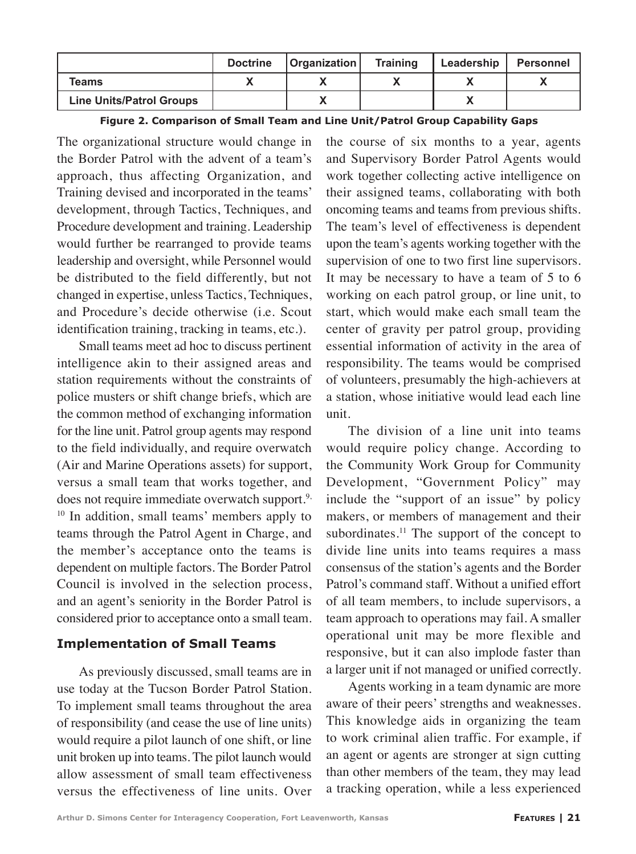|                                 | <b>Doctrine</b> | <b>Organization</b> | <b>Training</b> | Leadership | Personnel |
|---------------------------------|-----------------|---------------------|-----------------|------------|-----------|
| Teams                           |                 |                     |                 |            |           |
| <b>Line Units/Patrol Groups</b> |                 |                     |                 |            |           |

| Figure 2. Comparison of Small Team and Line Unit/Patrol Group Capability Gaps |  |  |  |  |
|-------------------------------------------------------------------------------|--|--|--|--|
|-------------------------------------------------------------------------------|--|--|--|--|

The organizational structure would change in the Border Patrol with the advent of a team's approach, thus affecting Organization, and Training devised and incorporated in the teams' development, through Tactics, Techniques, and Procedure development and training. Leadership would further be rearranged to provide teams leadership and oversight, while Personnel would be distributed to the field differently, but not changed in expertise, unless Tactics, Techniques, and Procedure's decide otherwise (i.e. Scout identification training, tracking in teams, etc.).

Small teams meet ad hoc to discuss pertinent intelligence akin to their assigned areas and station requirements without the constraints of police musters or shift change briefs, which are the common method of exchanging information for the line unit. Patrol group agents may respond to the field individually, and require overwatch (Air and Marine Operations assets) for support, versus a small team that works together, and does not require immediate overwatch support.<sup>9,</sup> <sup>10</sup> In addition, small teams' members apply to teams through the Patrol Agent in Charge, and the member's acceptance onto the teams is dependent on multiple factors. The Border Patrol Council is involved in the selection process, and an agent's seniority in the Border Patrol is considered prior to acceptance onto a small team.

#### **Implementation of Small Teams**

As previously discussed, small teams are in use today at the Tucson Border Patrol Station. To implement small teams throughout the area of responsibility (and cease the use of line units) would require a pilot launch of one shift, or line unit broken up into teams. The pilot launch would allow assessment of small team effectiveness versus the effectiveness of line units. Over

the course of six months to a year, agents and Supervisory Border Patrol Agents would work together collecting active intelligence on their assigned teams, collaborating with both oncoming teams and teams from previous shifts. The team's level of effectiveness is dependent upon the team's agents working together with the supervision of one to two first line supervisors. It may be necessary to have a team of 5 to 6 working on each patrol group, or line unit, to start, which would make each small team the center of gravity per patrol group, providing essential information of activity in the area of responsibility. The teams would be comprised of volunteers, presumably the high-achievers at a station, whose initiative would lead each line unit.

The division of a line unit into teams would require policy change. According to the Community Work Group for Community Development, "Government Policy" may include the "support of an issue" by policy makers, or members of management and their subordinates.<sup>11</sup> The support of the concept to divide line units into teams requires a mass consensus of the station's agents and the Border Patrol's command staff. Without a unified effort of all team members, to include supervisors, a team approach to operations may fail. A smaller operational unit may be more flexible and responsive, but it can also implode faster than a larger unit if not managed or unified correctly.

Agents working in a team dynamic are more aware of their peers' strengths and weaknesses. This knowledge aids in organizing the team to work criminal alien traffic. For example, if an agent or agents are stronger at sign cutting than other members of the team, they may lead a tracking operation, while a less experienced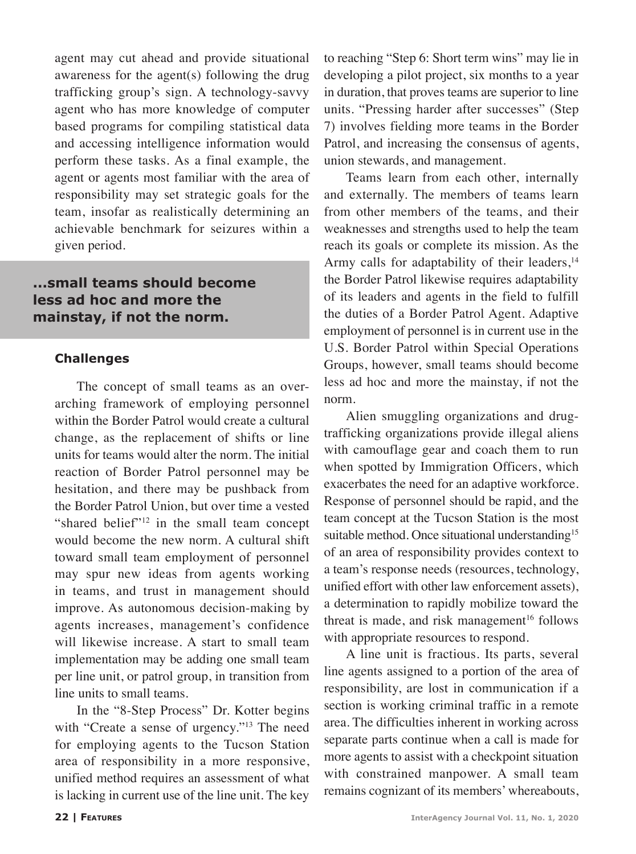agent may cut ahead and provide situational awareness for the agent(s) following the drug trafficking group's sign. A technology-savvy agent who has more knowledge of computer based programs for compiling statistical data and accessing intelligence information would perform these tasks. As a final example, the agent or agents most familiar with the area of responsibility may set strategic goals for the team, insofar as realistically determining an achievable benchmark for seizures within a given period.

#### **...small teams should become less ad hoc and more the mainstay, if not the norm.**

#### **Challenges**

The concept of small teams as an overarching framework of employing personnel within the Border Patrol would create a cultural change, as the replacement of shifts or line units for teams would alter the norm. The initial reaction of Border Patrol personnel may be hesitation, and there may be pushback from the Border Patrol Union, but over time a vested "shared belief"<sup>12</sup> in the small team concept would become the new norm. A cultural shift toward small team employment of personnel may spur new ideas from agents working in teams, and trust in management should improve. As autonomous decision-making by agents increases, management's confidence will likewise increase. A start to small team implementation may be adding one small team per line unit, or patrol group, in transition from line units to small teams.

In the "8-Step Process" Dr. Kotter begins with "Create a sense of urgency."<sup>13</sup> The need for employing agents to the Tucson Station area of responsibility in a more responsive, unified method requires an assessment of what is lacking in current use of the line unit. The key to reaching "Step 6: Short term wins" may lie in developing a pilot project, six months to a year in duration, that proves teams are superior to line units. "Pressing harder after successes" (Step 7) involves fielding more teams in the Border Patrol, and increasing the consensus of agents, union stewards, and management.

Teams learn from each other, internally and externally. The members of teams learn from other members of the teams, and their weaknesses and strengths used to help the team reach its goals or complete its mission. As the Army calls for adaptability of their leaders,<sup>14</sup> the Border Patrol likewise requires adaptability of its leaders and agents in the field to fulfill the duties of a Border Patrol Agent. Adaptive employment of personnel is in current use in the U.S. Border Patrol within Special Operations Groups, however, small teams should become less ad hoc and more the mainstay, if not the norm.

Alien smuggling organizations and drugtrafficking organizations provide illegal aliens with camouflage gear and coach them to run when spotted by Immigration Officers, which exacerbates the need for an adaptive workforce. Response of personnel should be rapid, and the team concept at the Tucson Station is the most suitable method. Once situational understanding<sup>15</sup> of an area of responsibility provides context to a team's response needs (resources, technology, unified effort with other law enforcement assets), a determination to rapidly mobilize toward the threat is made, and risk management<sup>16</sup> follows with appropriate resources to respond.

A line unit is fractious. Its parts, several line agents assigned to a portion of the area of responsibility, are lost in communication if a section is working criminal traffic in a remote area. The difficulties inherent in working across separate parts continue when a call is made for more agents to assist with a checkpoint situation with constrained manpower. A small team remains cognizant of its members' whereabouts,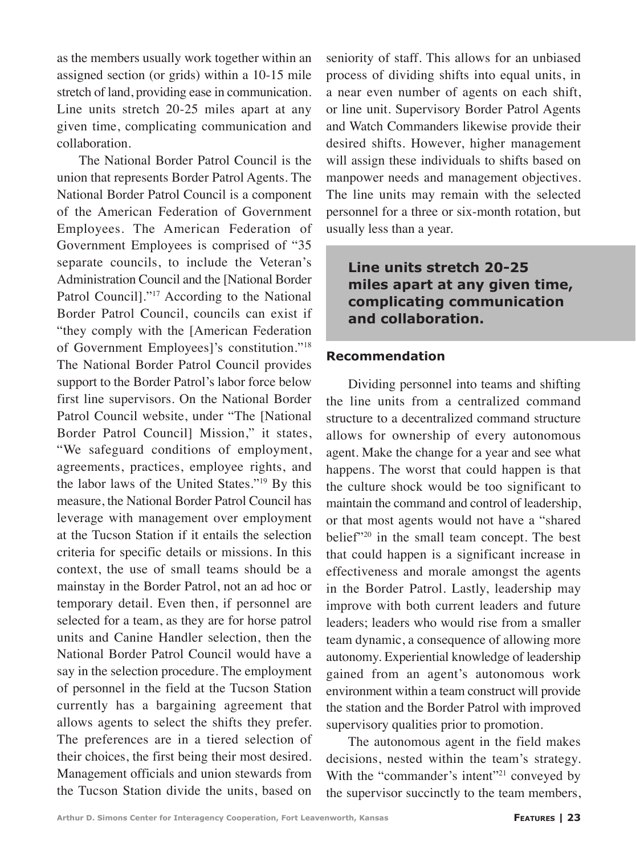as the members usually work together within an assigned section (or grids) within a 10-15 mile stretch of land, providing ease in communication. Line units stretch 20-25 miles apart at any given time, complicating communication and collaboration.

The National Border Patrol Council is the union that represents Border Patrol Agents. The National Border Patrol Council is a component of the American Federation of Government Employees. The American Federation of Government Employees is comprised of "35 separate councils, to include the Veteran's Administration Council and the [National Border Patrol Council]."<sup>17</sup> According to the National Border Patrol Council, councils can exist if "they comply with the [American Federation of Government Employees]'s constitution."18 The National Border Patrol Council provides support to the Border Patrol's labor force below first line supervisors. On the National Border Patrol Council website, under "The [National Border Patrol Council] Mission," it states, "We safeguard conditions of employment, agreements, practices, employee rights, and the labor laws of the United States."19 By this measure, the National Border Patrol Council has leverage with management over employment at the Tucson Station if it entails the selection criteria for specific details or missions. In this context, the use of small teams should be a mainstay in the Border Patrol, not an ad hoc or temporary detail. Even then, if personnel are selected for a team, as they are for horse patrol units and Canine Handler selection, then the National Border Patrol Council would have a say in the selection procedure. The employment of personnel in the field at the Tucson Station currently has a bargaining agreement that allows agents to select the shifts they prefer. The preferences are in a tiered selection of their choices, the first being their most desired. Management officials and union stewards from the Tucson Station divide the units, based on

seniority of staff. This allows for an unbiased process of dividing shifts into equal units, in a near even number of agents on each shift, or line unit. Supervisory Border Patrol Agents and Watch Commanders likewise provide their desired shifts. However, higher management will assign these individuals to shifts based on manpower needs and management objectives. The line units may remain with the selected personnel for a three or six-month rotation, but usually less than a year.

**Line units stretch 20-25 miles apart at any given time, complicating communication and collaboration.**

#### **Recommendation**

Dividing personnel into teams and shifting the line units from a centralized command structure to a decentralized command structure allows for ownership of every autonomous agent. Make the change for a year and see what happens. The worst that could happen is that the culture shock would be too significant to maintain the command and control of leadership, or that most agents would not have a "shared belief"20 in the small team concept. The best that could happen is a significant increase in effectiveness and morale amongst the agents in the Border Patrol. Lastly, leadership may improve with both current leaders and future leaders; leaders who would rise from a smaller team dynamic, a consequence of allowing more autonomy. Experiential knowledge of leadership gained from an agent's autonomous work environment within a team construct will provide the station and the Border Patrol with improved supervisory qualities prior to promotion.

The autonomous agent in the field makes decisions, nested within the team's strategy. With the "commander's intent"<sup>21</sup> conveyed by the supervisor succinctly to the team members,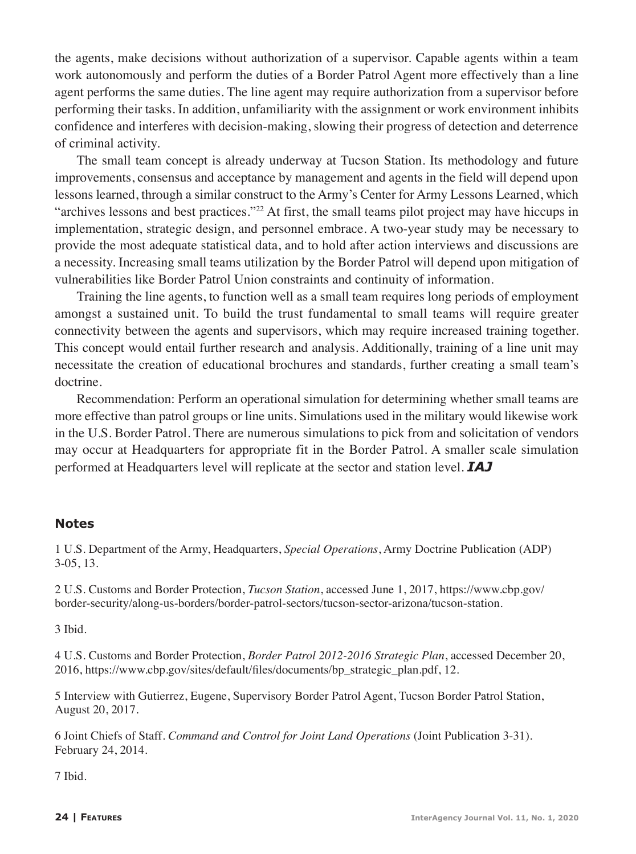the agents, make decisions without authorization of a supervisor. Capable agents within a team work autonomously and perform the duties of a Border Patrol Agent more effectively than a line agent performs the same duties. The line agent may require authorization from a supervisor before performing their tasks. In addition, unfamiliarity with the assignment or work environment inhibits confidence and interferes with decision-making, slowing their progress of detection and deterrence of criminal activity.

The small team concept is already underway at Tucson Station. Its methodology and future improvements, consensus and acceptance by management and agents in the field will depend upon lessons learned, through a similar construct to the Army's Center for Army Lessons Learned, which "archives lessons and best practices."22 At first, the small teams pilot project may have hiccups in implementation, strategic design, and personnel embrace. A two-year study may be necessary to provide the most adequate statistical data, and to hold after action interviews and discussions are a necessity. Increasing small teams utilization by the Border Patrol will depend upon mitigation of vulnerabilities like Border Patrol Union constraints and continuity of information.

Training the line agents, to function well as a small team requires long periods of employment amongst a sustained unit. To build the trust fundamental to small teams will require greater connectivity between the agents and supervisors, which may require increased training together. This concept would entail further research and analysis. Additionally, training of a line unit may necessitate the creation of educational brochures and standards, further creating a small team's doctrine.

Recommendation: Perform an operational simulation for determining whether small teams are more effective than patrol groups or line units. Simulations used in the military would likewise work in the U.S. Border Patrol. There are numerous simulations to pick from and solicitation of vendors may occur at Headquarters for appropriate fit in the Border Patrol. A smaller scale simulation performed at Headquarters level will replicate at the sector and station level. *IAJ*

#### **Notes**

1 U.S. Department of the Army, Headquarters, *Special Operations*, Army Doctrine Publication (ADP) 3-05, 13.

2 U.S. Customs and Border Protection, *Tucson Station*, accessed June 1, 2017, https://www.cbp.gov/ border-security/along-us-borders/border-patrol-sectors/tucson-sector-arizona/tucson-station.

3 Ibid.

4 U.S. Customs and Border Protection, *Border Patrol 2012-2016 Strategic Plan*, accessed December 20, 2016, https://www.cbp.gov/sites/default/files/documents/bp\_strategic\_plan.pdf, 12.

5 Interview with Gutierrez, Eugene, Supervisory Border Patrol Agent, Tucson Border Patrol Station, August 20, 2017.

6 Joint Chiefs of Staff. *Command and Control for Joint Land Operations* (Joint Publication 3-31). February 24, 2014.

7 Ibid.